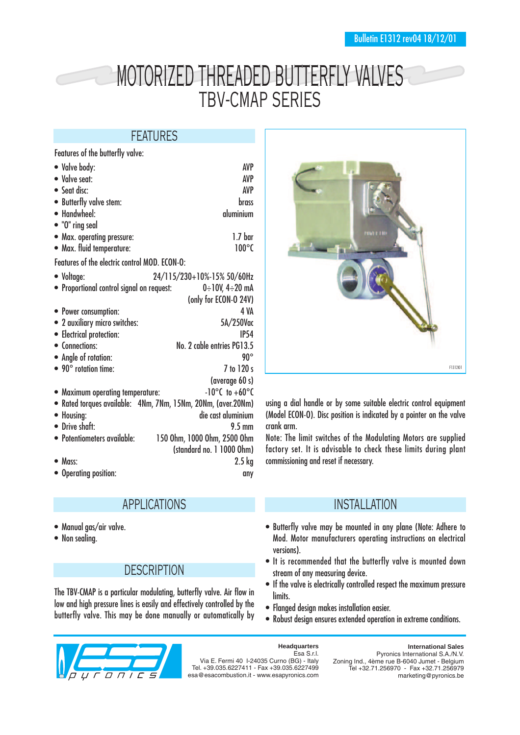# MOTORIZED THREADED BUTTERFLY VALVES TBV-CMAP SERIES

### FEATURES

Features of the butterfly valve:

| • Valve body:                                                | <b>AVP</b>                         |
|--------------------------------------------------------------|------------------------------------|
| • Valve seat:                                                | AVP                                |
| • Seat disc:                                                 | <b>AVP</b>                         |
| • Butterfly valve stem:                                      | brass                              |
| • Handwheel:                                                 | aluminium                          |
| • "O" ring seal                                              |                                    |
| • Max. operating pressure:                                   | 1.7 <sub>bar</sub>                 |
| • Max. fluid temperature:                                    | $100^{\circ}$ C                    |
|                                                              |                                    |
| Features of the electric control MOD. ECON-O:                |                                    |
| • Voltage:                                                   | 24/115/230+10%-15% 50/60Hz         |
| • Proportional control signal on request:                    | $0 \div 10V$ , 4 $\div 20$ mA      |
|                                                              | (only for ECON-O 24V)              |
| • Power consumption:                                         | 4 VA                               |
| • 2 auxiliary micro switches:                                | 5A/250Vac                          |
| • Electrical protection:                                     | <b>IP54</b>                        |
| • Connections:                                               | No. 2 cable entries PG13.5         |
| • Angle of rotation:                                         | $90^\circ$                         |
| $\bullet$ 90 $^{\circ}$ rotation time:                       | 7 to 120 s                         |
|                                                              | (average 60 s)                     |
| • Maximum operating temperature:                             | $-10^{\circ}$ C to $+60^{\circ}$ C |
| • Rated torques available: 4Nm, 7Nm, 15Nm, 20Nm, (aver.20Nm) |                                    |
| • Housing:                                                   | die cast aluminium                 |
| • Drive shaft:                                               | $9.5 \text{ mm}$                   |
| • Potentiometers available:                                  |                                    |
|                                                              | 150 Ohm, 1000 Ohm, 2500 Ohm        |
|                                                              | (standard no. 1 1000 Ohm)          |
| $\bullet$ Mass:                                              | $2.5 \text{ kg}$                   |
| • Operating position:                                        | any                                |

# APPLICATIONS

- Manual gas/air valve.
- Non sealing.

### **DESCRIPTION**

The TBV-CMAP is a particular modulating, butterfly valve. Air flow in low and high pressure lines is easily and effectively controlled by the butterfly valve. This may be done manually or automatically by





#### **Headquarters**

Esa S.r.l. Via E. Fermi 40 I-24035 Curno (BG) - Italy Tel. +39.035.6227411 - Fax +39.035.6227499 esa@esacombustion.it - www.esapyronics.com

F1312I01

using a dial handle or by some suitable electric control equipment (Model ECON-O). Disc position is indicated by a pointer on the valve crank arm.

Note: The limit switches of the Modulating Motors are supplied factory set. It is advisable to check these limits during plant commissioning and reset if necessary.

### INSTALLATION

- Butterfly valve may be mounted in any plane (Note: Adhere to Mod. Motor manufacturers operating instructions on electrical
- It is recommended that the butterfly valve is mounted down stream of any measuring device.
- If the valve is electrically controlled respect the maximum pressure limits.
- Flanged design makes installation easier.
- Robust design ensures extended operation in extreme conditions.

**International Sales** Pyronics International S.A./N.V. Zoning Ind., 4ème rue B-6040 Jumet - Belgium Tel +32.71.256970 - Fax +32.71.256979 marketing@pyronics.be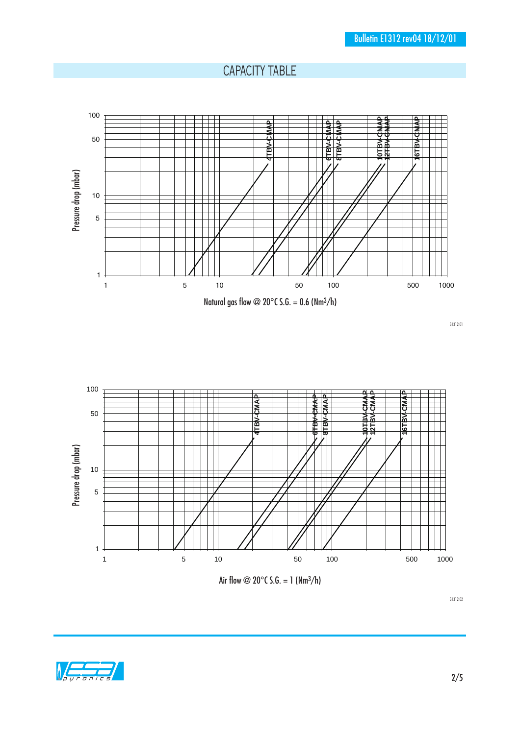### CAPACITY TABLE



G1312I01



G1312I02

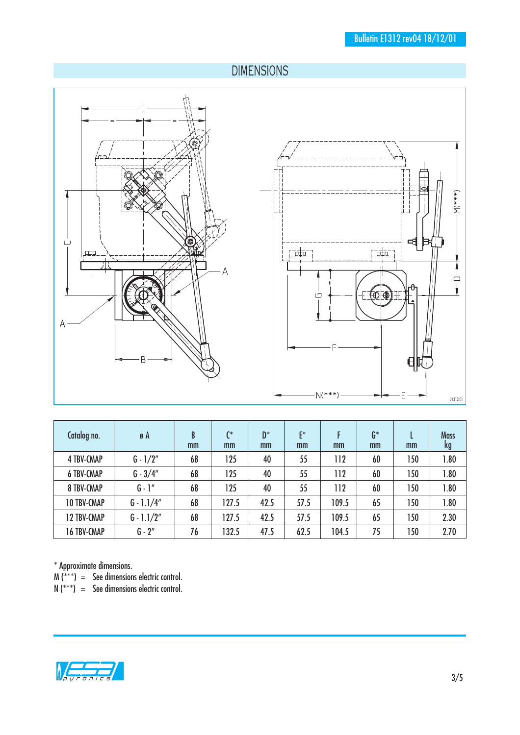# DIMENSIONS





| Catalog no.        | ø A          | B<br>mm | $\mathsf{C}^*$<br>mm | $D^*$<br>mm | $F^*$<br>mm | mm    | $G^*$<br>mm | mm  | <b>Mass</b><br>kg |
|--------------------|--------------|---------|----------------------|-------------|-------------|-------|-------------|-----|-------------------|
| <b>4 TBV-CMAP</b>  | $G - 1/2"$   | 68      | 125                  | 40          | 55          | 112   | 60          | 150 | .80               |
| <b>6 TBV-CMAP</b>  | $G - 3/4"$   | 68      | 125                  | 40          | 55          | 112   | 60          | 150 | 1.80              |
| <b>8 TBV-CMAP</b>  | $G - 1''$    | 68      | 125                  | 40          | 55          | 112   | 60          | 150 | .80               |
| <b>10 TBV-CMAP</b> | $G - 1.1/4"$ | 68      | 127.5                | 42.5        | 57.5        | 109.5 | 65          | 150 | 1.80              |
| <b>12 TBV-CMAP</b> | $G - 1.1/2"$ | 68      | 127.5                | 42.5        | 57.5        | 109.5 | 65          | 150 | 2.30              |
| <b>16 TBV-CMAP</b> | $G - 2''$    | 76      | 132.5                | 47.5        | 62.5        | 104.5 | 75          | 150 | 2.70              |

\* Approximate dimensions.

M (\*\*\*) = See dimensions electric control.

 $N$  (\*\*\*) = See dimensions electric control.

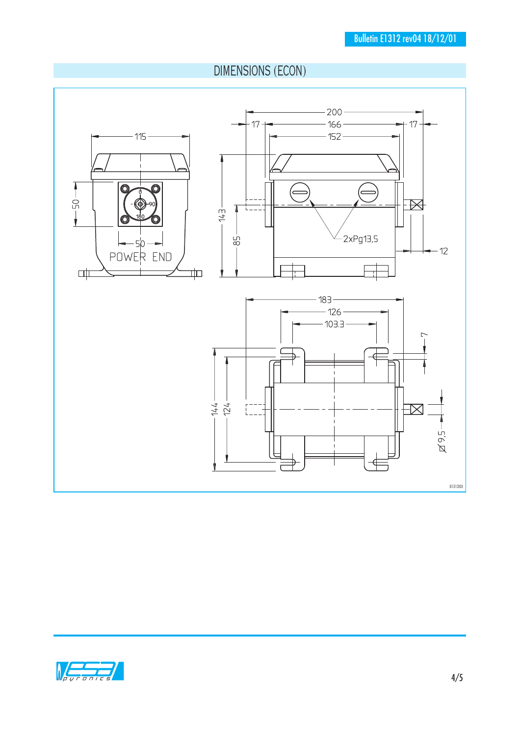# DIMENSIONS (ECON)